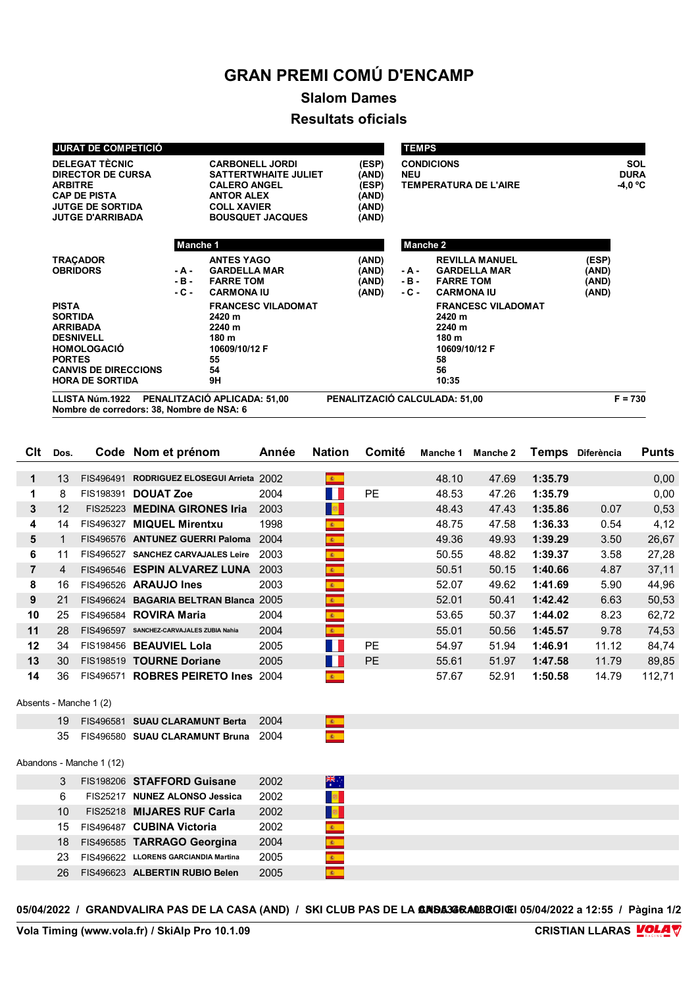## **GRAN PREMI COMÚ D'ENCAMP**

## **Slalom Dames Resultats oficials**

| <b>JURAT DE COMPETICIÓ</b><br><b>DELEGAT TÈCNIC</b><br><b>CARBONELL JORDI</b><br><b>DIRECTOR DE CURSA</b><br><b>SATTERTWHAITE JULIET</b>                              |                          |                                                                                           | (ESP)<br>(AND)                   | <b>TEMPS</b><br><b>NEU</b> | <b>CONDICIONS</b><br><b>TEMPERATURA DE L'AIRE</b>                                            | <b>SOL</b><br><b>DURA</b><br>-4,0 °C |
|-----------------------------------------------------------------------------------------------------------------------------------------------------------------------|--------------------------|-------------------------------------------------------------------------------------------|----------------------------------|----------------------------|----------------------------------------------------------------------------------------------|--------------------------------------|
| <b>ARBITRE</b><br><b>CAP DE PISTA</b><br><b>JUTGE DE SORTIDA</b><br><b>JUTGE D'ARRIBADA</b>                                                                           |                          | <b>CALERO ANGEL</b><br><b>ANTOR ALEX</b><br><b>COLL XAVIER</b><br><b>BOUSQUET JACQUES</b> | (ESP)<br>(AND)<br>(AND)<br>(AND) |                            |                                                                                              |                                      |
|                                                                                                                                                                       | Manche 1                 |                                                                                           |                                  | Manche 2                   |                                                                                              |                                      |
| <b>TRAÇADOR</b><br><b>OBRIDORS</b>                                                                                                                                    | - A -<br>- B -<br>$-C -$ | <b>ANTES YAGO</b><br><b>GARDELLA MAR</b><br><b>FARRE TOM</b><br><b>CARMONA IU</b>         | (AND)<br>(AND)<br>(AND)<br>(AND) | - A -<br>- B -<br>- C -    | <b>REVILLA MANUEL</b><br><b>GARDELLA MAR</b><br><b>FARRE TOM</b><br><b>CARMONA IU</b>        | (ESP)<br>(AND)<br>(AND)<br>(AND)     |
| <b>PISTA</b><br><b>SORTIDA</b><br><b>ARRIBADA</b><br><b>DESNIVELL</b><br><b>HOMOLOGACIO</b><br><b>PORTES</b><br><b>CANVIS DE DIRECCIONS</b><br><b>HORA DE SORTIDA</b> |                          | <b>FRANCESC VILADOMAT</b><br>2420 m<br>2240 m<br>180 m<br>10609/10/12 F<br>55<br>54<br>9H |                                  |                            | <b>FRANCESC VILADOMAT</b><br>2420 m<br>2240 m<br>180 m<br>10609/10/12 F<br>58<br>56<br>10:35 |                                      |
| LLISTA Núm.1922<br>Nombre de corredors: 38, Nombre de NSA: 6                                                                                                          |                          | PENALITZACIÓ APLICADA: 51,00                                                              | PENALITZACIÓ CALCULADA: 51,00    |                            |                                                                                              | $F = 730$                            |

| Clt            | Dos.           |                          | Code Nom et prénom                        | Année | <b>Nation</b>                      | Comité    | Manche 1 | <b>Manche 2</b> |         | Temps Diferència | <b>Punts</b> |
|----------------|----------------|--------------------------|-------------------------------------------|-------|------------------------------------|-----------|----------|-----------------|---------|------------------|--------------|
| $\mathbf 1$    | 13             |                          | FIS496491 RODRIGUEZ ELOSEGUI Arrieta 2002 |       | 第一                                 |           | 48.10    | 47.69           | 1:35.79 |                  | 0,00         |
| 1              | 8              |                          | FIS198391 DOUAT Zoe                       | 2004  | ш                                  | PE        | 48.53    | 47.26           | 1:35.79 |                  | 0,00         |
| 3              | 12             |                          | FIS25223 MEDINA GIRONES Iria              | 2003  | <b>B</b>                           |           | 48.43    | 47.43           | 1:35.86 | 0.07             | 0,53         |
| 4              | 14             |                          | FIS496327 MIQUEL Mirentxu                 | 1998  | $\mathbf{A}$                       |           | 48.75    | 47.58           | 1:36.33 | 0.54             | 4,12         |
| 5              | 1              |                          | FIS496576 ANTUNEZ GUERRI Paloma           | 2004  | $\mathbf{R}^{\top}$                |           | 49.36    | 49.93           | 1:39.29 | 3.50             | 26,67        |
| 6              | 11             |                          | FIS496527 SANCHEZ CARVAJALES Leire        | 2003  | $\frac{1}{\frac{1}{2}}$            |           | 50.55    | 48.82           | 1:39.37 | 3.58             | 27,28        |
| $\overline{7}$ | $\overline{4}$ |                          | FIS496546 ESPIN ALVAREZ LUNA              | 2003  | $\frac{1}{\mathcal{R}_\text{max}}$ |           | 50.51    | 50.15           | 1:40.66 | 4.87             | 37,11        |
| 8              | 16             |                          | FIS496526 ARAUJO Ines                     | 2003  | $\mathbf{R}$                       |           | 52.07    | 49.62           | 1:41.69 | 5.90             | 44,96        |
| 9              | 21             |                          | FIS496624 BAGARIA BELTRAN Blanca 2005     |       | $\mathcal{R}^{\pm}$                |           | 52.01    | 50.41           | 1:42.42 | 6.63             | 50,53        |
| 10             | 25             |                          | FIS496584 ROVIRA Maria                    | 2004  | $\mathbb{R}^+$                     |           | 53.65    | 50.37           | 1:44.02 | 8.23             | 62,72        |
| 11             | 28             |                          | FIS496597 SANCHEZ-CARVAJALES ZUBIA Nahia  | 2004  | $\mathbf{R}$ .                     |           | 55.01    | 50.56           | 1:45.57 | 9.78             | 74,53        |
| 12             | 34             |                          | FIS198456 BEAUVIEL Lola                   | 2005  | H                                  | PE        | 54.97    | 51.94           | 1:46.91 | 11.12            | 84,74        |
| 13             | 30             |                          | FIS198519 TOURNE Doriane                  | 2005  | M.                                 | <b>PE</b> | 55.61    | 51.97           | 1:47.58 | 11.79            | 89,85        |
| 14             | 36             |                          | FIS496571 ROBRES PEIRETO Ines 2004        |       | $\mathcal{R}^{\pm}$                |           | 57.67    | 52.91           | 1:50.58 | 14.79            | 112,71       |
|                |                |                          |                                           |       |                                    |           |          |                 |         |                  |              |
|                |                | Absents - Manche 1 (2)   |                                           |       |                                    |           |          |                 |         |                  |              |
|                | 19             |                          | FIS496581 SUAU CLARAMUNT Berta            | 2004  | $\mathcal{R}_{\mathrm{max}}$       |           |          |                 |         |                  |              |
|                | 35             |                          | FIS496580 SUAU CLARAMUNT Bruna            | 2004  | $\mathbf{R}^{\mathrm{c}}$          |           |          |                 |         |                  |              |
|                |                | Abandons - Manche 1 (12) |                                           |       |                                    |           |          |                 |         |                  |              |
|                | 3              |                          | FIS198206 STAFFORD Guisane                | 2002  | $\frac{1}{\sqrt{K}}$               |           |          |                 |         |                  |              |
|                | 6              |                          | FIS25217 NUNEZ ALONSO Jessica             | 2002  | $\mathbb{R}^n$                     |           |          |                 |         |                  |              |
|                | 10             |                          | FIS25218 MIJARES RUF Carla                | 2002  | a <mark>s</mark> i                 |           |          |                 |         |                  |              |
|                | 15             |                          | FIS496487 CUBINA Victoria                 | 2002  | $\frac{1}{\mathcal{R}_\text{max}}$ |           |          |                 |         |                  |              |
|                | 18             |                          | FIS496585 TARRAGO Georgina                | 2004  | $\bullet$                          |           |          |                 |         |                  |              |
|                | 23             |                          | FIS496622 LLORENS GARCIANDIA Martina      | 2005  | $\frac{1}{\frac{1}{2}}$            |           |          |                 |         |                  |              |
|                | 26             |                          | FIS496623 ALBERTIN RUBIO Belen            | 2005  | $\hat{g}_i$ .                      |           |          |                 |         |                  |              |

05/04/2022 / GRANDVALIRA PAS DE LA CASA (AND) / SKI CLUB PAS DE LA **GRISA34RAOBROIGI** 05/04/2022 a 12:55 / Pàgina 1/2